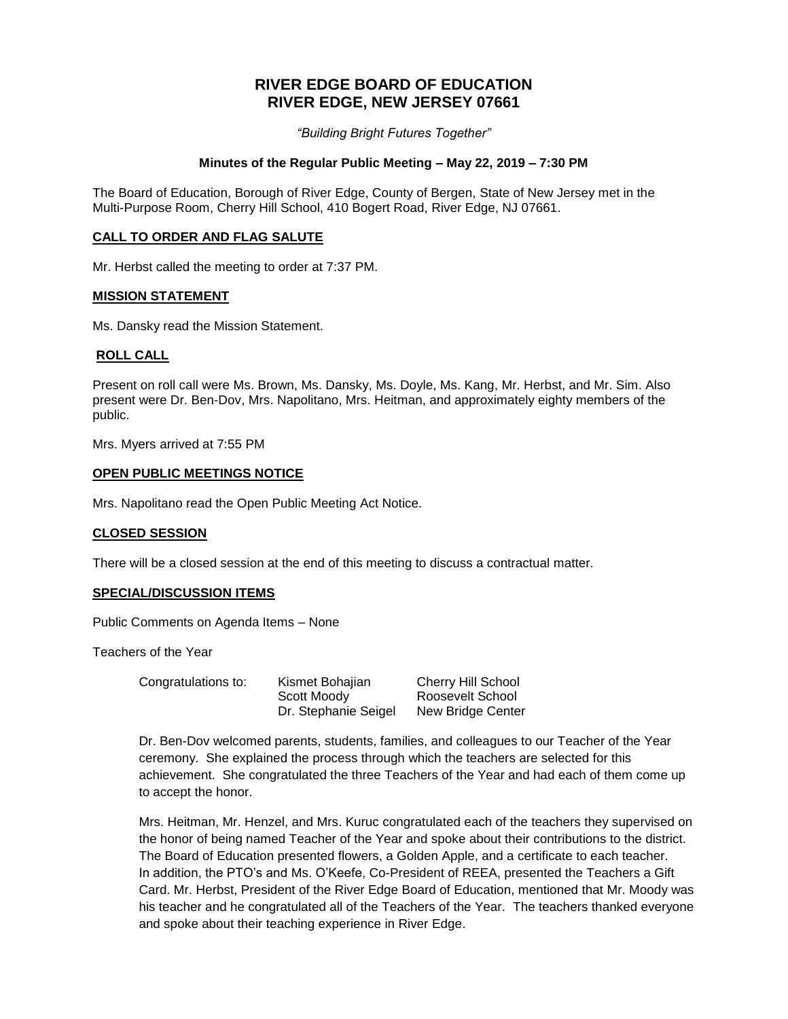# **RIVER EDGE BOARD OF EDUCATION RIVER EDGE, NEW JERSEY 07661**

*"Building Bright Futures Together"*

### **Minutes of the Regular Public Meeting – May 22, 2019 – 7:30 PM**

The Board of Education, Borough of River Edge, County of Bergen, State of New Jersey met in the Multi-Purpose Room, Cherry Hill School, 410 Bogert Road, River Edge, NJ 07661.

### **CALL TO ORDER AND FLAG SALUTE**

Mr. Herbst called the meeting to order at 7:37 PM.

#### **MISSION STATEMENT**

Ms. Dansky read the Mission Statement.

### **ROLL CALL**

Present on roll call were Ms. Brown, Ms. Dansky, Ms. Doyle, Ms. Kang, Mr. Herbst, and Mr. Sim. Also present were Dr. Ben-Dov, Mrs. Napolitano, Mrs. Heitman, and approximately eighty members of the public.

Mrs. Myers arrived at 7:55 PM

### **OPEN PUBLIC MEETINGS NOTICE**

Mrs. Napolitano read the Open Public Meeting Act Notice.

### **CLOSED SESSION**

There will be a closed session at the end of this meeting to discuss a contractual matter.

### **SPECIAL/DISCUSSION ITEMS**

Public Comments on Agenda Items – None

Teachers of the Year

Congratulations to: Kismet Bohajian Cherry Hill School

Scott Moody Roosevelt School

Dr. Stephanie Seigel New Bridge Center

Dr. Ben-Dov welcomed parents, students, families, and colleagues to our Teacher of the Year ceremony. She explained the process through which the teachers are selected for this achievement. She congratulated the three Teachers of the Year and had each of them come up to accept the honor.

Mrs. Heitman, Mr. Henzel, and Mrs. Kuruc congratulated each of the teachers they supervised on the honor of being named Teacher of the Year and spoke about their contributions to the district. The Board of Education presented flowers, a Golden Apple, and a certificate to each teacher. In addition, the PTO's and Ms. O'Keefe, Co-President of REEA, presented the Teachers a Gift Card. Mr. Herbst, President of the River Edge Board of Education, mentioned that Mr. Moody was his teacher and he congratulated all of the Teachers of the Year. The teachers thanked everyone and spoke about their teaching experience in River Edge.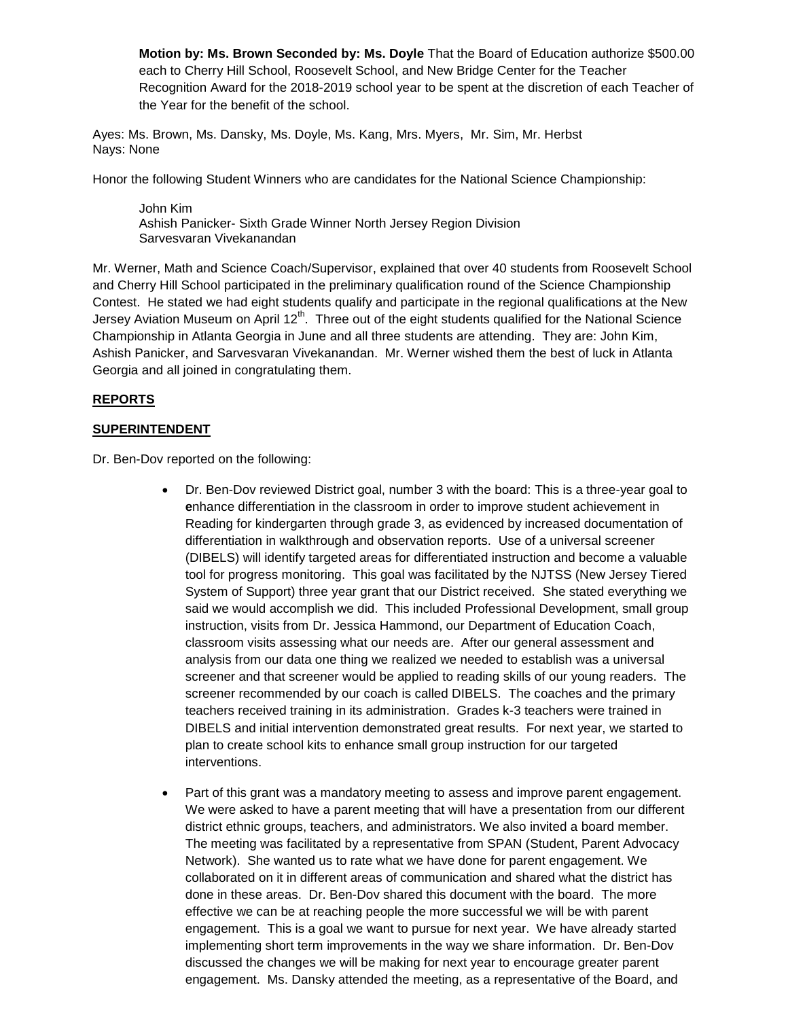**Motion by: Ms. Brown Seconded by: Ms. Doyle** That the Board of Education authorize \$500.00 each to Cherry Hill School, Roosevelt School, and New Bridge Center for the Teacher Recognition Award for the 2018-2019 school year to be spent at the discretion of each Teacher of the Year for the benefit of the school.

Ayes: Ms. Brown, Ms. Dansky, Ms. Doyle, Ms. Kang, Mrs. Myers, Mr. Sim, Mr. Herbst Nays: None

Honor the following Student Winners who are candidates for the National Science Championship:

John Kim Ashish Panicker- Sixth Grade Winner North Jersey Region Division Sarvesvaran Vivekanandan

Mr. Werner, Math and Science Coach/Supervisor, explained that over 40 students from Roosevelt School and Cherry Hill School participated in the preliminary qualification round of the Science Championship Contest. He stated we had eight students qualify and participate in the regional qualifications at the New Jersey Aviation Museum on April 12<sup>th</sup>. Three out of the eight students qualified for the National Science Championship in Atlanta Georgia in June and all three students are attending. They are: John Kim, Ashish Panicker, and Sarvesvaran Vivekanandan. Mr. Werner wished them the best of luck in Atlanta Georgia and all joined in congratulating them.

### **REPORTS**

### **SUPERINTENDENT**

Dr. Ben-Dov reported on the following:

- Dr. Ben-Dov reviewed District goal, number 3 with the board: This is a three-year goal to **e**nhance differentiation in the classroom in order to improve student achievement in Reading for kindergarten through grade 3, as evidenced by increased documentation of differentiation in walkthrough and observation reports. Use of a universal screener (DIBELS) will identify targeted areas for differentiated instruction and become a valuable tool for progress monitoring. This goal was facilitated by the NJTSS (New Jersey Tiered System of Support) three year grant that our District received. She stated everything we said we would accomplish we did. This included Professional Development, small group instruction, visits from Dr. Jessica Hammond, our Department of Education Coach, classroom visits assessing what our needs are. After our general assessment and analysis from our data one thing we realized we needed to establish was a universal screener and that screener would be applied to reading skills of our young readers. The screener recommended by our coach is called DIBELS. The coaches and the primary teachers received training in its administration. Grades k-3 teachers were trained in DIBELS and initial intervention demonstrated great results. For next year, we started to plan to create school kits to enhance small group instruction for our targeted interventions.
- Part of this grant was a mandatory meeting to assess and improve parent engagement. We were asked to have a parent meeting that will have a presentation from our different district ethnic groups, teachers, and administrators. We also invited a board member. The meeting was facilitated by a representative from SPAN (Student, Parent Advocacy Network). She wanted us to rate what we have done for parent engagement. We collaborated on it in different areas of communication and shared what the district has done in these areas. Dr. Ben-Dov shared this document with the board. The more effective we can be at reaching people the more successful we will be with parent engagement. This is a goal we want to pursue for next year. We have already started implementing short term improvements in the way we share information. Dr. Ben-Dov discussed the changes we will be making for next year to encourage greater parent engagement. Ms. Dansky attended the meeting, as a representative of the Board, and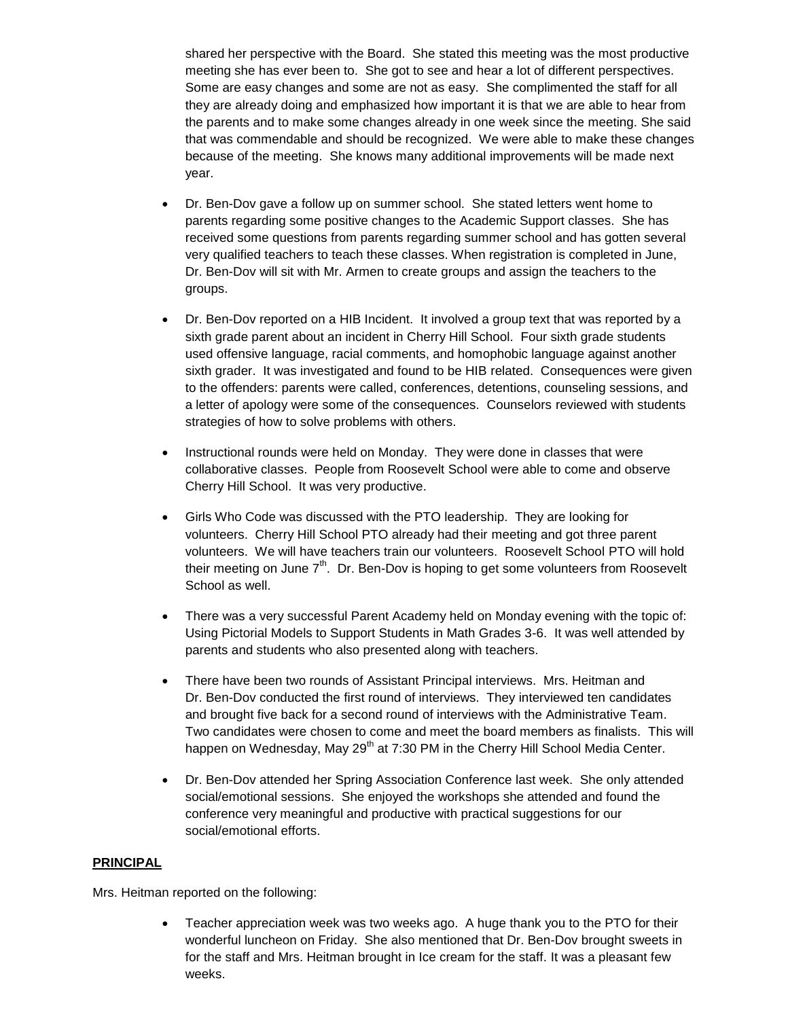shared her perspective with the Board. She stated this meeting was the most productive meeting she has ever been to. She got to see and hear a lot of different perspectives. Some are easy changes and some are not as easy. She complimented the staff for all they are already doing and emphasized how important it is that we are able to hear from the parents and to make some changes already in one week since the meeting. She said that was commendable and should be recognized. We were able to make these changes because of the meeting. She knows many additional improvements will be made next year.

- Dr. Ben-Dov gave a follow up on summer school. She stated letters went home to parents regarding some positive changes to the Academic Support classes. She has received some questions from parents regarding summer school and has gotten several very qualified teachers to teach these classes. When registration is completed in June, Dr. Ben-Dov will sit with Mr. Armen to create groups and assign the teachers to the groups.
- Dr. Ben-Dov reported on a HIB Incident. It involved a group text that was reported by a sixth grade parent about an incident in Cherry Hill School. Four sixth grade students used offensive language, racial comments, and homophobic language against another sixth grader. It was investigated and found to be HIB related. Consequences were given to the offenders: parents were called, conferences, detentions, counseling sessions, and a letter of apology were some of the consequences. Counselors reviewed with students strategies of how to solve problems with others.
- Instructional rounds were held on Monday. They were done in classes that were collaborative classes. People from Roosevelt School were able to come and observe Cherry Hill School. It was very productive.
- Girls Who Code was discussed with the PTO leadership. They are looking for volunteers. Cherry Hill School PTO already had their meeting and got three parent volunteers. We will have teachers train our volunteers. Roosevelt School PTO will hold their meeting on June  $7<sup>th</sup>$ . Dr. Ben-Dov is hoping to get some volunteers from Roosevelt School as well.
- There was a very successful Parent Academy held on Monday evening with the topic of: Using Pictorial Models to Support Students in Math Grades 3-6. It was well attended by parents and students who also presented along with teachers.
- There have been two rounds of Assistant Principal interviews. Mrs. Heitman and Dr. Ben-Dov conducted the first round of interviews. They interviewed ten candidates and brought five back for a second round of interviews with the Administrative Team. Two candidates were chosen to come and meet the board members as finalists. This will happen on Wednesday, May 29<sup>th</sup> at 7:30 PM in the Cherry Hill School Media Center.
- Dr. Ben-Dov attended her Spring Association Conference last week. She only attended social/emotional sessions. She enjoyed the workshops she attended and found the conference very meaningful and productive with practical suggestions for our social/emotional efforts.

### **PRINCIPAL**

Mrs. Heitman reported on the following:

 Teacher appreciation week was two weeks ago. A huge thank you to the PTO for their wonderful luncheon on Friday. She also mentioned that Dr. Ben-Dov brought sweets in for the staff and Mrs. Heitman brought in Ice cream for the staff. It was a pleasant few weeks.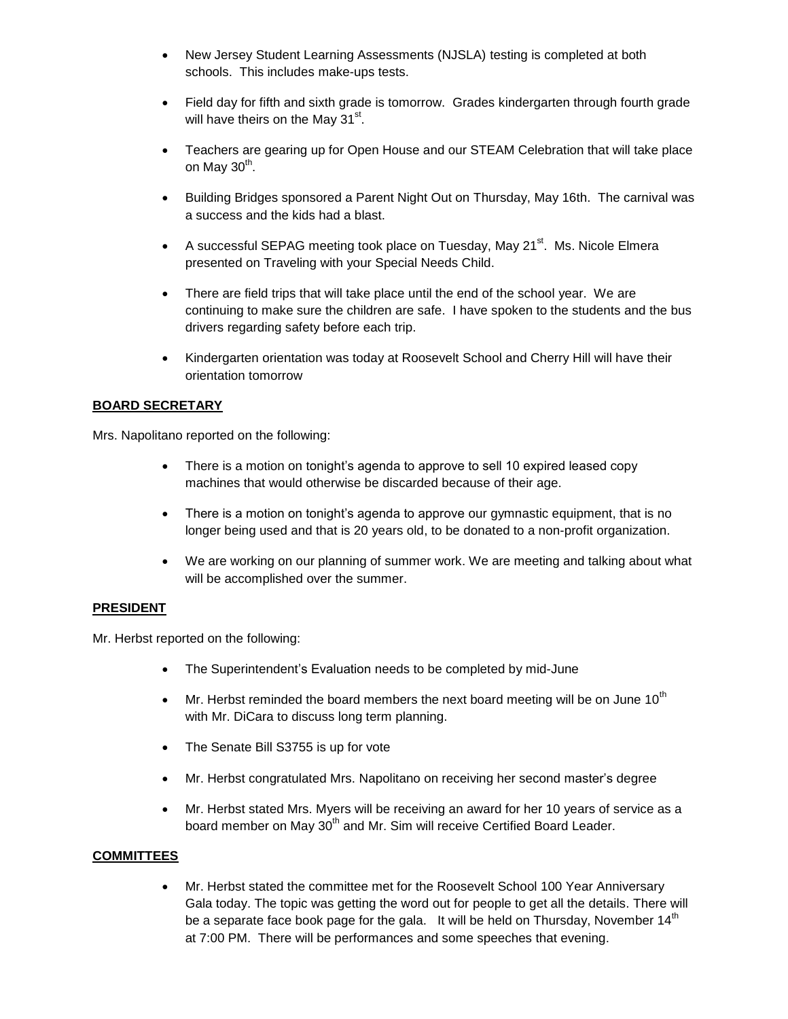- New Jersey Student Learning Assessments (NJSLA) testing is completed at both schools. This includes make-ups tests.
- Field day for fifth and sixth grade is tomorrow. Grades kindergarten through fourth grade will have theirs on the May 31<sup>st</sup>.
- Teachers are gearing up for Open House and our STEAM Celebration that will take place on May 30<sup>th</sup>.
- Building Bridges sponsored a Parent Night Out on Thursday, May 16th. The carnival was a success and the kids had a blast.
- A successful SEPAG meeting took place on Tuesday, May 21 $^{st}$ . Ms. Nicole Elmera presented on Traveling with your Special Needs Child.
- There are field trips that will take place until the end of the school year. We are continuing to make sure the children are safe. I have spoken to the students and the bus drivers regarding safety before each trip.
- Kindergarten orientation was today at Roosevelt School and Cherry Hill will have their orientation tomorrow

# **BOARD SECRETARY**

Mrs. Napolitano reported on the following:

- There is a motion on tonight's agenda to approve to sell 10 expired leased copy machines that would otherwise be discarded because of their age.
- There is a motion on tonight's agenda to approve our gymnastic equipment, that is no longer being used and that is 20 years old, to be donated to a non-profit organization.
- We are working on our planning of summer work. We are meeting and talking about what will be accomplished over the summer.

### **PRESIDENT**

Mr. Herbst reported on the following:

- The Superintendent's Evaluation needs to be completed by mid-June
- $\bullet$  Mr. Herbst reminded the board members the next board meeting will be on June 10<sup>th</sup> with Mr. DiCara to discuss long term planning.
- The Senate Bill S3755 is up for vote
- Mr. Herbst congratulated Mrs. Napolitano on receiving her second master's degree
- Mr. Herbst stated Mrs. Myers will be receiving an award for her 10 years of service as a board member on May 30<sup>th</sup> and Mr. Sim will receive Certified Board Leader.

### **COMMITTEES**

 Mr. Herbst stated the committee met for the Roosevelt School 100 Year Anniversary Gala today. The topic was getting the word out for people to get all the details. There will be a separate face book page for the gala. It will be held on Thursday, November 14<sup>th</sup> at 7:00 PM. There will be performances and some speeches that evening.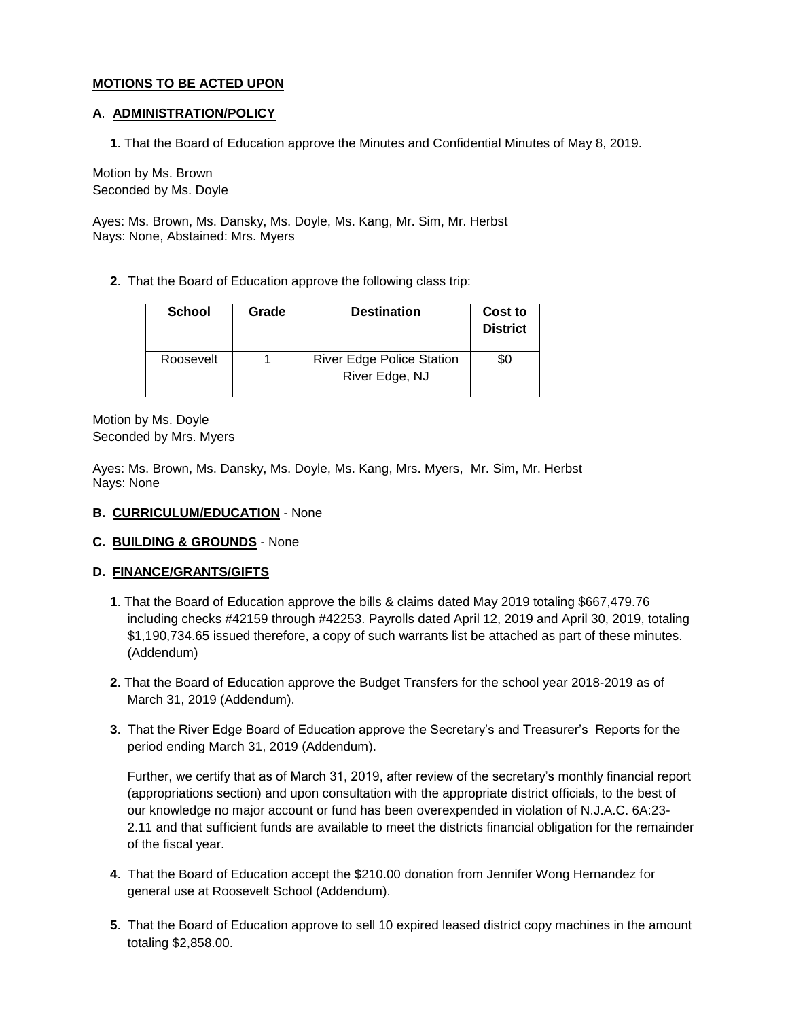### **MOTIONS TO BE ACTED UPON**

### **A**. **ADMINISTRATION/POLICY**

**1**. That the Board of Education approve the Minutes and Confidential Minutes of May 8, 2019.

Motion by Ms. Brown Seconded by Ms. Doyle

Ayes: Ms. Brown, Ms. Dansky, Ms. Doyle, Ms. Kang, Mr. Sim, Mr. Herbst Nays: None, Abstained: Mrs. Myers

**2**. That the Board of Education approve the following class trip:

| <b>School</b> | Grade | <b>Destination</b>                                 | Cost to<br><b>District</b> |
|---------------|-------|----------------------------------------------------|----------------------------|
| Roosevelt     |       | <b>River Edge Police Station</b><br>River Edge, NJ | \$0                        |

Motion by Ms. Doyle Seconded by Mrs. Myers

Ayes: Ms. Brown, Ms. Dansky, Ms. Doyle, Ms. Kang, Mrs. Myers, Mr. Sim, Mr. Herbst Nays: None

### **B. CURRICULUM/EDUCATION** - None

### **C. BUILDING & GROUNDS** - None

### **D. FINANCE/GRANTS/GIFTS**

- **1**. That the Board of Education approve the bills & claims dated May 2019 totaling \$667,479.76 including checks #42159 through #42253. Payrolls dated April 12, 2019 and April 30, 2019, totaling \$1,190,734.65 issued therefore, a copy of such warrants list be attached as part of these minutes. (Addendum)
- **2**. That the Board of Education approve the Budget Transfers for the school year 2018-2019 as of March 31, 2019 (Addendum).
- **3**. That the River Edge Board of Education approve the Secretary's and Treasurer's Reports for the period ending March 31, 2019 (Addendum).

Further, we certify that as of March 31, 2019, after review of the secretary's monthly financial report (appropriations section) and upon consultation with the appropriate district officials, to the best of our knowledge no major account or fund has been overexpended in violation of N.J.A.C. 6A:23- 2.11 and that sufficient funds are available to meet the districts financial obligation for the remainder of the fiscal year.

- **4**. That the Board of Education accept the \$210.00 donation from Jennifer Wong Hernandez for general use at Roosevelt School (Addendum).
- **5**. That the Board of Education approve to sell 10 expired leased district copy machines in the amount totaling \$2,858.00.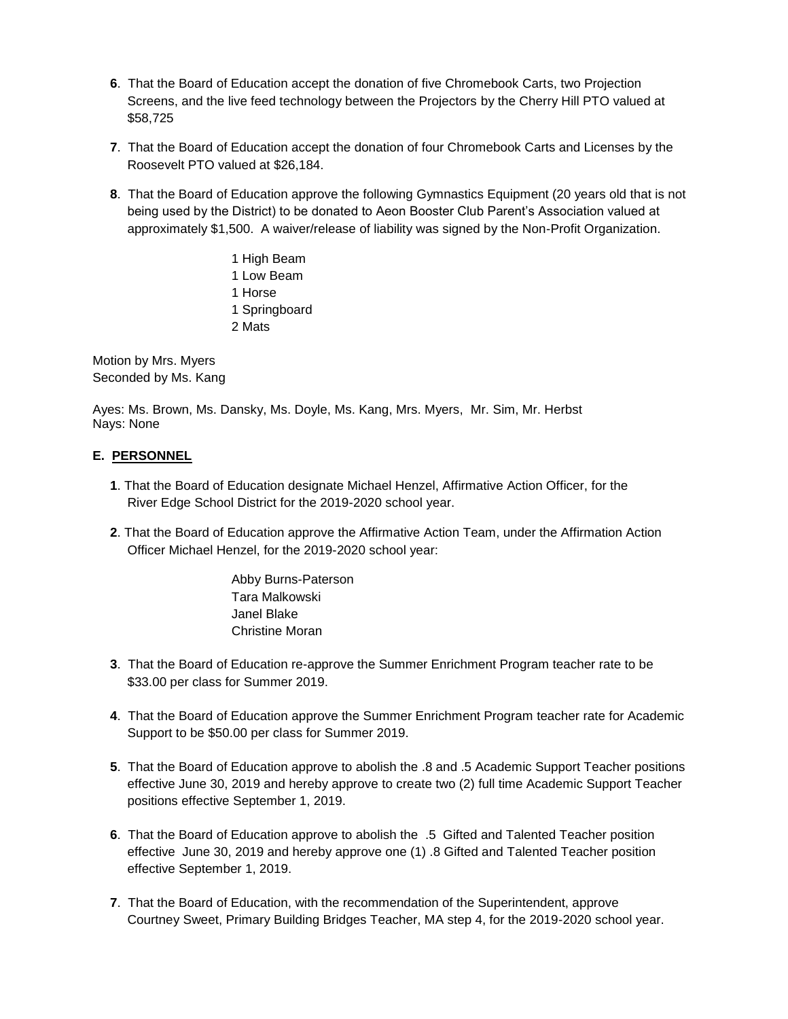- **6**. That the Board of Education accept the donation of five Chromebook Carts, two Projection Screens, and the live feed technology between the Projectors by the Cherry Hill PTO valued at \$58,725
- **7**. That the Board of Education accept the donation of four Chromebook Carts and Licenses by the Roosevelt PTO valued at \$26,184.
- **8**. That the Board of Education approve the following Gymnastics Equipment (20 years old that is not being used by the District) to be donated to Aeon Booster Club Parent's Association valued at approximately \$1,500. A waiver/release of liability was signed by the Non-Profit Organization.
	- 1 High Beam 1 Low Beam 1 Horse 1 Springboard 2 Mats

Motion by Mrs. Myers Seconded by Ms. Kang

Ayes: Ms. Brown, Ms. Dansky, Ms. Doyle, Ms. Kang, Mrs. Myers, Mr. Sim, Mr. Herbst Nays: None

# **E. PERSONNEL**

- **1**. That the Board of Education designate Michael Henzel, Affirmative Action Officer, for the River Edge School District for the 2019-2020 school year.
- **2**. That the Board of Education approve the Affirmative Action Team, under the Affirmation Action Officer Michael Henzel, for the 2019-2020 school year:

Abby Burns-Paterson Tara Malkowski Janel Blake Christine Moran

- **3**. That the Board of Education re-approve the Summer Enrichment Program teacher rate to be \$33.00 per class for Summer 2019.
- **4**. That the Board of Education approve the Summer Enrichment Program teacher rate for Academic Support to be \$50.00 per class for Summer 2019.
- **5**. That the Board of Education approve to abolish the .8 and .5 Academic Support Teacher positions effective June 30, 2019 and hereby approve to create two (2) full time Academic Support Teacher positions effective September 1, 2019.
- **6**. That the Board of Education approve to abolish the .5 Gifted and Talented Teacher position effective June 30, 2019 and hereby approve one (1) .8 Gifted and Talented Teacher position effective September 1, 2019.
- **7**. That the Board of Education, with the recommendation of the Superintendent, approve Courtney Sweet, Primary Building Bridges Teacher, MA step 4, for the 2019-2020 school year.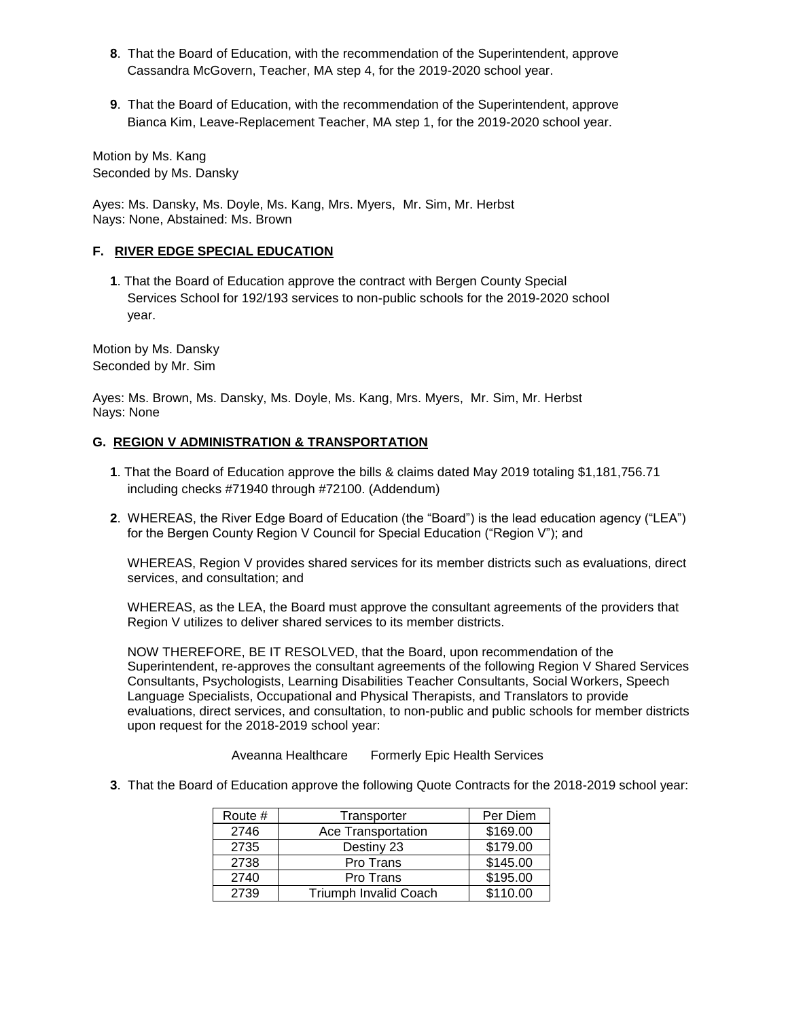- **8**. That the Board of Education, with the recommendation of the Superintendent, approve Cassandra McGovern, Teacher, MA step 4, for the 2019-2020 school year.
- **9**. That the Board of Education, with the recommendation of the Superintendent, approve Bianca Kim, Leave-Replacement Teacher, MA step 1, for the 2019-2020 school year.

Motion by Ms. Kang Seconded by Ms. Dansky

Ayes: Ms. Dansky, Ms. Doyle, Ms. Kang, Mrs. Myers, Mr. Sim, Mr. Herbst Nays: None, Abstained: Ms. Brown

### **F. RIVER EDGE SPECIAL EDUCATION**

**1**. That the Board of Education approve the contract with Bergen County Special Services School for 192/193 services to non-public schools for the 2019-2020 school year.

Motion by Ms. Dansky Seconded by Mr. Sim

Ayes: Ms. Brown, Ms. Dansky, Ms. Doyle, Ms. Kang, Mrs. Myers, Mr. Sim, Mr. Herbst Nays: None

### **G. REGION V ADMINISTRATION & TRANSPORTATION**

- **1**. That the Board of Education approve the bills & claims dated May 2019 totaling \$1,181,756.71 including checks #71940 through #72100. (Addendum)
- **2**. WHEREAS, the River Edge Board of Education (the "Board") is the lead education agency ("LEA") for the Bergen County Region V Council for Special Education ("Region V"); and

WHEREAS, Region V provides shared services for its member districts such as evaluations, direct services, and consultation; and

WHEREAS, as the LEA, the Board must approve the consultant agreements of the providers that Region V utilizes to deliver shared services to its member districts.

NOW THEREFORE, BE IT RESOLVED, that the Board, upon recommendation of the Superintendent, re-approves the consultant agreements of the following Region V Shared Services Consultants, Psychologists, Learning Disabilities Teacher Consultants, Social Workers, Speech Language Specialists, Occupational and Physical Therapists, and Translators to provide evaluations, direct services, and consultation, to non-public and public schools for member districts upon request for the 2018-2019 school year:

Aveanna Healthcare Formerly Epic Health Services

**3**. That the Board of Education approve the following Quote Contracts for the 2018-2019 school year:

| Route # | Transporter                  | Per Diem |
|---------|------------------------------|----------|
| 2746    | Ace Transportation           | \$169.00 |
| 2735    | Destiny 23                   | \$179.00 |
| 2738    | Pro Trans                    | \$145.00 |
| 2740    | Pro Trans                    | \$195.00 |
| 2739    | <b>Triumph Invalid Coach</b> | \$110.00 |